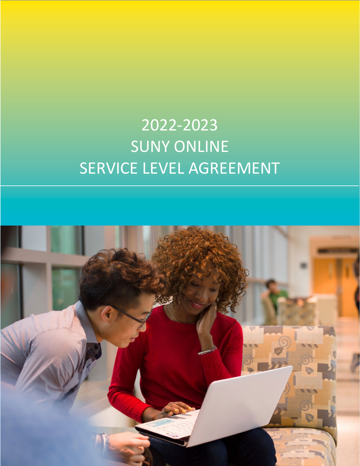# 2022-2023 SUNY ONLINE SERVICE LEVEL AGREEMENT

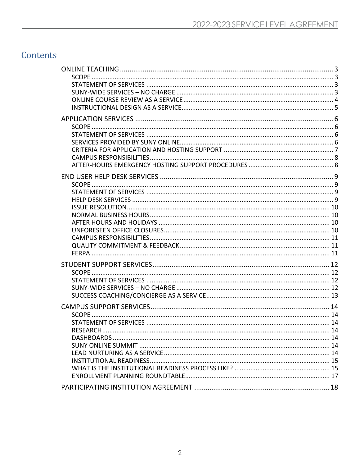# Contents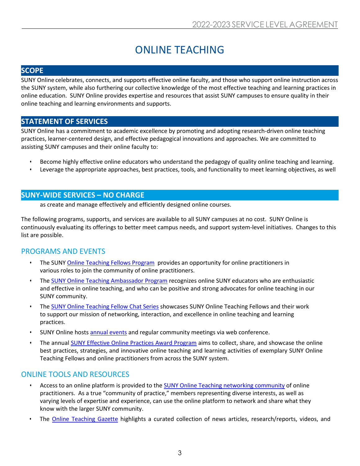# ONLINE TEACHING

#### <span id="page-2-0"></span>**SCOPE**

SUNY Online celebrates, connects, and supports effective online faculty, and those who support online instruction across the SUNY system, while also furthering our collective knowledge of the most effective teaching and learning practices in online education. SUNY Online provides expertise and resources that assist SUNY campuses to ensure quality in their online teaching and learning environments and supports.

#### **STATEMENT OF SERVICES**

SUNY Online has a commitment to academic excellence by promoting and adopting research-driven online teaching practices, learner-centered design, and effective pedagogical innovations and approaches. We are committed to assisting SUNY campuses and their online faculty to:

- Become highly effective online educators who understand the pedagogy of quality online teaching and learning.
- Leverage the appropriate approaches, best practices, tools, and functionality to meet learning objectives, as well

#### **SUNY-WIDE SERVICES – NO CHARGE**

as create and manage effectively and efficiently designed online courses.

The following programs, supports, and services are available to all SUNY campuses at no cost. SUNY Online is continuously evaluating its offerings to better meet campus needs, and support system-level initiatives. Changes to this list are possible.

#### PROGRAMS AND EVENTS

- The SUNY [Online Teaching Fellows Program](https://online.suny.edu/onlineteaching/fellowship-expectations/) provides an opportunity for online practitioners in various roles to join the community of online practitioners.
- The [SUNY Online Teaching Ambassador Program](https://online.suny.edu/onlineteaching/engage/ambassadorprogram/ambassadors/) recognizes online SUNY educators who are enthusiastic and effective in online teaching, and who can be positive and strong advocates for online teaching in our SUNY community.
- The [SUNY Online Teaching Fellow Chat Series](https://online.suny.edu/onlineteaching/engage/fellow-chats/) showcases SUNY Online Teaching Fellows and their work to support our mission of networking, interaction, and excellence in online teaching and learning practices.
- SUNY Online hosts [annual events](https://online.suny.edu/onlineteaching/events/) and regular community meetings via web conference.
- The annual [SUNY Effective Online Practices Award Program](https://online.suny.edu/onlineteaching/engage/epawards/) aims to collect, share, and showcase the online best practices, strategies, and innovative online teaching and learning activities of exemplary SUNY Online Teaching Fellows and online practitioners from across the SUNY system.

#### ONLINE TOOLS AND RESOURCES

- Access to an online platform is provided to the [SUNY Online Teaching networking community](https://onlineteaching.open.suny.edu/) of online practitioners. As a true "community of practice," members representing diverse interests, as well as varying levels of expertise and experience, can use the online platform to network and share what they know with the larger SUNY community.
- The **Online Teaching Gazette** highlights a curated collection of news articles, research/reports, videos, and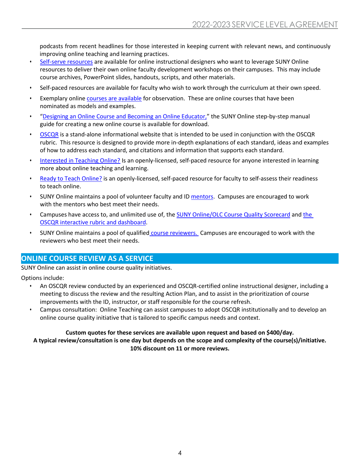podcasts from recent headlines for those interested in keeping current with relevant news, and continuously improving online teaching and learning practices.

- [Self-serve resources](https://online.suny.edu/onlineteaching/online-competency-development/self-paced-and-self-serve-training/) are available for online instructional designers who want to leverage SUNY Online resources to deliver their own online faculty development workshops on their campuses. This may include course archives, PowerPoint slides, handouts, scripts, and other materials.
- Self-paced resources are available for faculty who wish to work through the curriculum at their own speed.
- Exemplary onlin[e courses are available](https://bbsupport.sln.suny.edu/bbcswebdav/institution/observation/courses_for_observation.html) for observation. These are online courses that have been nominated as models and examples.
- ["Designing an Online Course and Becoming an Online Educator,](https://online.suny.edu/onlineteaching/files/2015/05/Final2-N2OLManual-2015.pdf)" the SUNY Online step-by-step manual guide for creating a new online course is available for download.
- [OSCQR](http://oscqr.suny.edu/) is a stand-alone informational website that is intended to be used in conjunction with the OSCQR rubric. This resource is designed to provide more in-depth explanations of each standard, ideas and examples of how to address each standard, and citations and information that supports each standard.
- [Interested in Teaching Online?](https://online.suny.edu/interested/) Is an openly-licensed, self-paced resource for anyone interested in learning more about online teaching and learning.
- [Ready to Teach Online?](https://online.suny.edu/facultyreadiness/) is an openly-licensed, self-paced resource for faculty to self-assess their readiness to teach online.
- SUNY Online maintains a pool of volunteer faculty and ID [mentors.](https://online.suny.edu/onlineteaching/engage/mentors/) Campuses are encouraged to work with the mentors who best meet their needs.
- Campuses have access to, and unlimited use of, th[e SUNY Online/OLC Course Quality Scorecard](https://onlinelearningconsortium.org/consult/oscqr-course-design-review/) an[d the](https://oscqr.suny.edu/get-oscqr/)  OSCQR interactive [rubric and dashboard.](https://oscqr.suny.edu/get-oscqr/)
- SUNY Online maintains a pool of qualified [course reviewers.](https://online.suny.edu/onlineteaching/engage/course-reviewer-network/) Campuses are encouraged to work with the reviewers who best meet their needs.

#### **ONLINE COURSE REVIEW AS A SERVICE**

SUNY Online can assist in online course quality initiatives.

Options include:

- An OSCQR review conducted by an experienced and OSCQR-certified online instructional designer, including a meeting to discuss the review and the resulting Action Plan, and to assist in the prioritization of course improvements with the ID, instructor, or staff responsible for the course refresh.
- Campus consultation: Online Teaching can assist campuses to adopt OSCQR institutionally and to develop an online course quality initiative that is tailored to specific campus needs and context.

#### **Custom quotes for these services are available upon request and based on \$400/day.**

**A typical review/consultation is one day but depends on the scope and complexity of the course(s)/initiative. 10% discount on 11 or more reviews.**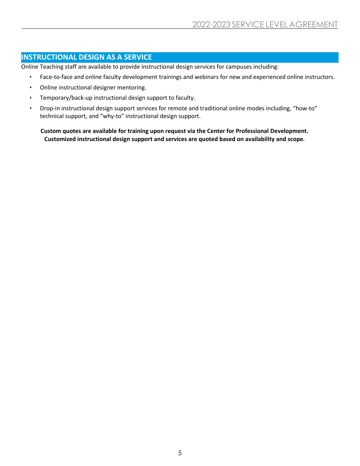#### **INSTRUCTIONAL DESIGN AS A SERVICE**

Online Teaching staff are available to provide instructional design services for campuses including:

- Face-to-face and online faculty development trainings and webinars for new and experienced online instructors.
- Online instructional designer mentoring.
- Temporary/back-up instructional design support to faculty.
- Drop-in instructional design support services for remote and traditional online modes including, "how-to" technical support, and "why-to" instructional design support.

**Custom quotes are available for training upon request via the Center for Professional Development. Customized instructional design support and services are quoted based on availability and scope.**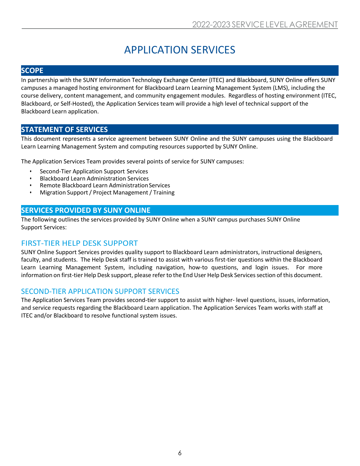# APPLICATION SERVICES

#### <span id="page-5-0"></span>**SCOPE**

In partnership with the SUNY Information Technology Exchange Center (ITEC) and Blackboard, SUNY Online offers SUNY campuses a managed hosting environment for Blackboard Learn Learning Management System (LMS), including the course delivery, content management, and community engagement modules. Regardless of hosting environment (ITEC, Blackboard, or Self-Hosted), the Application Services team will provide a high level of technical support of the Blackboard Learn application.

#### **STATEMENT OF SERVICES**

This document represents a service agreement between SUNY Online and the SUNY campuses using the Blackboard Learn Learning Management System and computing resources supported by SUNY Online.

The Application Services Team provides several points of service for SUNY campuses:

- Second-Tier Application Support Services
- Blackboard Learn Administration Services
- Remote Blackboard Learn Administration Services
- Migration Support/ Project Management/ Training

#### **SERVICES PROVIDED BY SUNY ONLINE**

The following outlines the services provided by SUNY Online when a SUNY campus purchases SUNY Online Support Services:

#### FIRST-TIER HELP DESK SUPPORT

SUNY Online Support Services provides quality support to Blackboard Learn administrators, instructional designers, faculty, and students. The Help Desk staff is trained to assist with various first-tier questions within the Blackboard Learn Learning Management System, including navigation, how-to questions, and login issues. For more information on first-tier Help Desk support, please refer to the End User Help Desk Services section of this document.

#### SECOND-TIER APPLICATION SUPPORT SERVICES

The Application Services Team provides second-tier support to assist with higher- level questions, issues, information, and service requests regarding the Blackboard Learn application. The Application Services Team works with staff at ITEC and/or Blackboard to resolve functional system issues.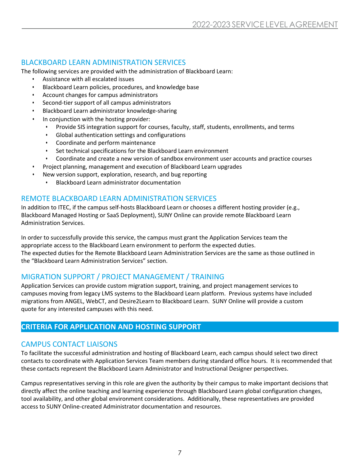#### BLACKBOARD LEARN ADMINISTRATION SERVICES

The following services are provided with the administration of Blackboard Learn:

- Assistance with all escalated issues
- Blackboard Learn policies, procedures, and knowledge base
- Account changes for campus administrators
- Second-tier support of all campus administrators
- Blackboard Learn administrator knowledge-sharing
- In conjunction with the hosting provider:
	- Provide SIS integration support for courses, faculty, staff, students, enrollments, and terms
	- Global authentication settings and configurations
	- Coordinate and perform maintenance
	- Set technical specifications for the Blackboard Learn environment
	- Coordinate and create a new version of sandbox environment user accounts and practice courses
- Project planning, management and execution of Blackboard Learn upgrades
	- New version support, exploration, research, and bug reporting
		- Blackboard Learn administrator documentation

#### REMOTE BLACKBOARD LEARN ADMINISTRATION SERVICES

In addition to ITEC, if the campus self-hosts Blackboard Learn or chooses a different hosting provider (e.g., Blackboard Managed Hosting or SaaS Deployment), SUNY Online can provide remote Blackboard Learn Administration Services.

In order to successfully provide this service, the campus must grant the Application Services team the appropriate access to the Blackboard Learn environment to perform the expected duties. The expected duties for the Remote Blackboard Learn Administration Services are the same as those outlined in the "Blackboard Learn Administration Services" section.

### MIGRATION SUPPORT / PROJECT MANAGEMENT / TRAINING

Application Services can provide custom migration support, training, and project management services to campuses moving from legacy LMS systems to the Blackboard Learn platform. Previous systems have included migrations from ANGEL, WebCT, and Desire2Learn to Blackboard Learn. SUNY Online will provide a custom quote for any interested campuses with this need.

#### **CRITERIA FOR APPLICATION AND HOSTING SUPPORT**

#### CAMPUS CONTACT LIAISONS

To facilitate the successful administration and hosting of Blackboard Learn, each campus should select two direct contacts to coordinate with Application Services Team members during standard office hours. It is recommended that these contacts represent the Blackboard Learn Administrator and Instructional Designer perspectives.

Campus representatives serving in this role are given the authority by their campus to make important decisions that directly affect the online teaching and learning experience through Blackboard Learn global configuration changes, tool availability, and other global environment considerations. Additionally, these representatives are provided access to SUNY Online-created Administrator documentation and resources.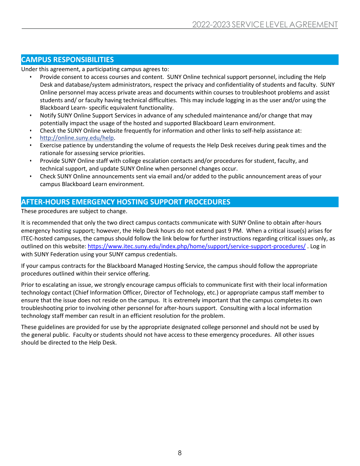#### **CAMPUS RESPONSIBILITIES**

Under this agreement, a participating campus agrees to:

- Provide consent to access courses and content. SUNY Online technical support personnel, including the Help Desk and database/system administrators, respect the privacy and confidentiality of students and faculty. SUNY Online personnel may access private areas and documents within courses to troubleshoot problems and assist students and/ or faculty having technical difficulties. This may include logging in as the user and/or using the Blackboard Learn- specific equivalent functionality.
- Notify SUNY Online Support Services in advance of any scheduled maintenance and/or change that may potentially impact the usage of the hosted and supported Blackboard Learn environment.
- Check the SUNY Online website frequently for information and other links to self-help assistance at:
- [http://online.suny.edu/help.](http://online.suny.edu/help)
- Exercise patience by understanding the volume of requests the Help Desk receives during peak times and the rationale for assessing service priorities.
- Provide SUNY Online staff with college escalation contacts and/or procedures for student, faculty, and technical support, and update SUNY Online when personnel changes occur.
- Check SUNY Online announcements sent via email and/or added to the public announcement areas of your campus Blackboard Learn environment.

#### **AFTER-HOURS EMERGENCY HOSTING SUPPORT PROCEDURES**

#### These procedures are subject to change.

It is recommended that only the two direct campus contacts communicate with SUNY Online to obtain after-hours emergency hosting support; however, the Help Desk hours do not extend past 9 PM. When a critical issue(s) arises for ITEC-hosted campuses, the campus should follow the link below for further instructions regarding critical issues only, as outlined on this website:<https://www.itec.suny.edu/index.php/home/support/service-support-procedures/> . Log in with SUNY Federation using your SUNY campus credentials.

If your campus contracts for the Blackboard Managed Hosting Service, the campus should follow the appropriate procedures outlined within their service offering.

Prior to escalating an issue, we strongly encourage campus officials to communicate first with their local information technology contact (Chief Information Officer, Director of Technology, etc.) or appropriate campus staff member to ensure that the issue does not reside on the campus. It is extremely important that the campus completes its own troubleshooting prior to involving other personnel for after-hours support. Consulting with a local information technology staff member can result in an efficient resolution for the problem.

These guidelines are provided for use by the appropriate designated college personnel and should not be used by the general public. Faculty or students should not have access to these emergency procedures. All other issues should be directed to the Help Desk.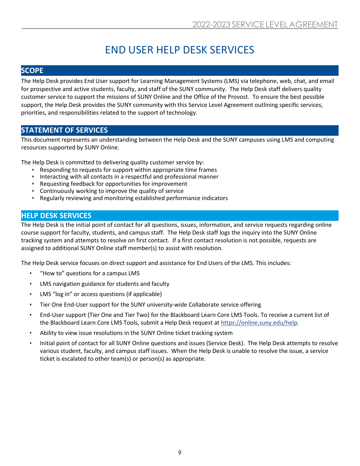# END USER HELP DESK SERVICES

#### <span id="page-8-0"></span>**SCOPE**

The Help Desk provides End User support for Learning Management Systems (LMS) via telephone, web, chat, and email for prospective and active students, faculty, and staff of the SUNY community. The Help Desk staff delivers quality customer service to support the missions of SUNY Online and the Office of the Provost. To ensure the best possible support, the Help Desk provides the SUNY community with this Service Level Agreement outlining specific services, priorities, and responsibilities related to the support of technology.

#### **STATEMENT OF SERVICES**

This document represents an understanding between the Help Desk and the SUNY campuses using LMS and computing resources supported by SUNY Online.

The Help Desk is committed to delivering quality customer service by:

- Responding to requests for support within appropriate time frames
- Interacting with all contacts in a respectful and professional manner
- Requesting feedback for opportunities for improvement
- Continuously working to improve the quality of service
- Regularly reviewing and monitoring established performance indicators

#### **HELP DESK SERVICES**

The Help Desk is the initial point of contact for all questions, issues, information, and service requests regarding online course support for faculty, students, and campus staff. The Help Desk staff logs the inquiry into the SUNY Online tracking system and attempts to resolve on first contact. If a first contact resolution is not possible, requests are assigned to additional SUNY Online staff member(s) to assist with resolution.

The Help Desk service focuses on direct support and assistance for End Users of the LMS. This includes:

- "How to" questions for a campus LMS
- LMS navigation guidance for students and faculty
- LMS "log in" or access questions (if applicable)
- Tier One End-User support for the SUNY university-wide Collaborate service offering
- End-User support (Tier One and Tier Two) for the Blackboard Learn Core LMS Tools. To receive a current list of the Blackboard Learn Core LMS Tools, submit a Help Desk request at [https://online.suny.edu/help.](https://online.suny.edu/help)
- Ability to view issue resolutions in the SUNY Online ticket tracking system
- Initial point of contact for all SUNY Online questions and issues (Service Desk). The Help Desk attempts to resolve various student, faculty, and campus staff issues. When the Help Desk is unable to resolve the issue, a service ticket is escalated to other team(s) or person(s) as appropriate.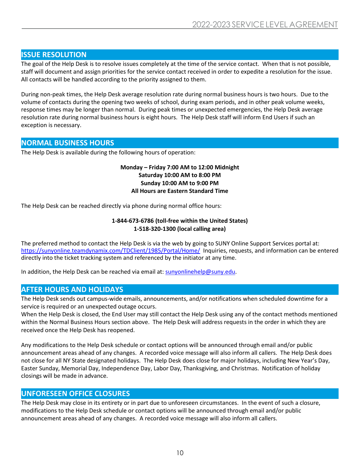#### **ISSUE RESOLUTION**

The goal of the Help Desk is to resolve issues completely at the time of the service contact. When that is not possible, staff will document and assign priorities for the service contact received in order to expedite a resolution for the issue. All contacts will be handled according to the priority assigned to them.

During non-peak times, the Help Desk average resolution rate during normal business hours is two hours. Due to the volume of contacts during the opening two weeks of school, during exam periods, and in other peak volume weeks, response times may be longer than normal. During peak times or unexpected emergencies, the Help Desk average resolution rate during normal business hours is eight hours. The Help Desk staff will inform End Users if such an exception is necessary.

#### **NORMAL BUSINESS HOURS**

The Help Desk is available during the following hours of operation:

#### **Monday – Friday 7:00 AM to 12:00 Midnight Saturday 10:00 AM to 8:00 PM Sunday 10:00 AM to 9:00 PM All Hours are Eastern Standard Time**

The Help Desk can be reached directly via phone during normal office hours:

#### **1-844-673-6786 (toll-free within the United States) 1-518-320-1300 (local calling area)**

The preferred method to contact the Help Desk is via the web by going to SUNY Online Support Services portal at: <https://sunyonline.teamdynamix.com/TDClient/1985/Portal/Home/> Inquiries, requests, and information can be entered directly into the ticket tracking system and referenced by the initiator at any time.

In addition, the Help Desk can be reached via email at: [sunyonlinehelp@suny.edu.](mailto:sunyonlinehelp@suny.edu)

#### **AFTER HOURS AND HOLIDAYS**

The Help Desk sends out campus-wide emails, announcements, and/or notifications when scheduled downtime for a service is required or an unexpected outage occurs.

When the Help Desk is closed, the End User may still contact the Help Desk using any of the contact methods mentioned within the Normal Business Hours section above. The Help Desk will address requests in the order in which they are received once the Help Desk has reopened.

Any modifications to the Help Desk schedule or contact options will be announced through email and/or public announcement areas ahead of any changes. A recorded voice message will also inform all callers. The Help Desk does not close for all NY State designated holidays. The Help Desk does close for major holidays, including New Year's Day, Easter Sunday, Memorial Day, Independence Day, Labor Day, Thanksgiving, and Christmas. Notification of holiday closings will be made in advance.

#### **UNFORESEEN OFFICE CLOSURES**

The Help Desk may close in its entirety or in part due to unforeseen circumstances. In the event of such a closure, modifications to the Help Desk schedule or contact options will be announced through email and/or public announcement areas ahead of any changes. A recorded voice message will also inform all callers.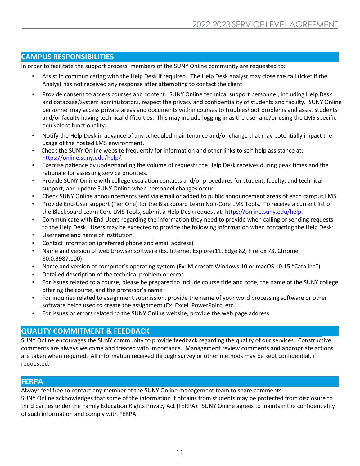#### **CAMPUS RESPONSIBILITIES**

In order to facilitate the support process, members of the SUNY Online community are requested to:

- Assist in communicating with the Help Desk if required. The Help Desk analyst may close the call ticket if the Analyst has not received any response after attempting to contact the client.
- Provide consent to access courses and content. SUNY Online technical support personnel, including Help Desk and database/system administrators, respect the privacy and confidentiality of students and faculty. SUNY Online personnel may access private areas and documents within courses to troubleshoot problems and assist students and/or faculty having technical difficulties. This may include logging in as the user and/or using the LMS specific equivalent functionality.
- Notify the Help Desk in advance of any scheduled maintenance and/or change that may potentially impact the usage of the hosted LMS environment.
- Check the SUNY Online website frequently for information and other links to self-help assistance at: [https://online.suny.edu/help/.](https://online.suny.edu/help/)
- Exercise patience by understanding the volume of requests the Help Desk receives during peak times and the rationale for assessing service priorities.
- Provide SUNY Online with college escalation contacts and/or procedures for student, faculty, and technical support, and update SUNY Online when personnel changes occur.
- Check SUNY Online announcements sent via email or added to public announcement areas of each campus LMS.
- Provide End-User support (Tier One) for the Blackboard Learn Non-Core LMS Tools. To receive a current list of the Blackboard Learn Core LMS Tools, submit a Help Desk request at: <https://online.suny.edu/help.>
- Communicate with End Users regarding the information they need to provide when calling or sending requests to the Help Desk. Users may be expected to provide the following information when contacting the Help Desk:
- Username and name of institution
- Contact information (preferred phone and email address)
- Name and version of web browser software (Ex. Internet Explorer11, Edge 82, Firefox 73, Chrome 80.0.3987.100)
- Name and version of computer's operating system (Ex: Microsoft Windows 10 or macOS 10.15 "Catalina")
- Detailed description of the technical problem or error
- For issues related to a course, please be prepared to include course title and code, the name of the SUNY college offering the course, and the professor's name
- For inquiries related to assignment submission, provide the name of your word processing software or other software being used to create the assignment (Ex. Excel, PowerPoint, etc.)
- For issues or errors related to the SUNY Online website, provide the web page address

#### **QUALITY COMMITMENT & FEEDBACK**

SUNY Online encourages the SUNY community to provide feedback regarding the quality of our services. Constructive  comments are always welcome and treated with importance. Management review comments and appropriate actions are taken when required. All information received through survey or other methods may be kept confidential, if requested.

#### **FERPA**

Always feel free to contact any member of the SUNY Online management team to share comments.

SUNY Online acknowledges that some of the information it obtains from students may be protected from disclosure to third parties under the Family Education Rights Privacy Act (FERPA). SUNY Online agrees to maintain the confidentiality of such information and comply with FERPA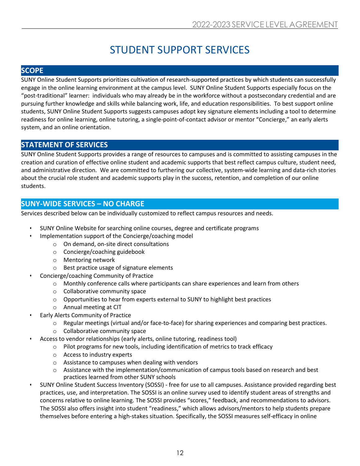# STUDENT SUPPORT SERVICES

### <span id="page-11-0"></span>**SCOPE**

SUNY Online Student Supports prioritizes cultivation of research-supported practices by which students can successfully engage in the online learning environment at the campus level. SUNY Online Student Supports especially focus on the "post-traditional" learner: individuals who may already be in the workforce without a postsecondary credential and are pursuing further knowledge and skills while balancing work, life, and education responsibilities. To best support online students, SUNY Online Student Supports suggests campuses adopt key signature elements including a tool to determine readiness for online learning, online tutoring, a single-point-of-contact advisor or mentor "Concierge," an early alerts system, and an online orientation.

# **STATEMENT OF SERVICES**

SUNY Online Student Supports provides a range of resources to campuses and is committed to assisting campuses in the creation and curation of effective online student and academic supports that best reflect campus culture, student need, and administrative direction. We are committed to furthering our collective, system-wide learning and data-rich stories about the crucial role student and academic supports play in the success, retention, and completion of our online students.

# **SUNY-WIDE SERVICES – NO CHARGE**

Services described below can be individually customized to reflect campus resources and needs. 

- SUNY Online Website for searching online courses, degree and certificate programs
- Implementation support of the Concierge/coaching model
	- o On demand, on-site direct consultations
	- o Concierge/coaching guidebook
	- o Mentoring network
	- o Best practice usage of signature elements
- Concierge/coaching Community of Practice
	- $\circ$  Monthly conference calls where participants can share experiences and learn from others
	- o Collaborative community space
	- $\circ$  Opportunities to hear from experts external to SUNY to highlight best practices
	- o Annual meeting at CIT
- Early Alerts Community of Practice
	- o Regular meetings (virtual and/or face-to-face) for sharing experiences and comparing best practices.
	- o Collaborative community space
- Access to vendor relationships (early alerts, online tutoring, readiness tool)
	- $\circ$  Pilot programs for new tools, including identification of metrics to track efficacy
		- o Access to industry experts
		- o Assistance to campuses when dealing with vendors
		- $\circ$  Assistance with the implementation/communication of campus tools based on research and best practices learned from other SUNY schools
- SUNY Online Student Success Inventory (SOSSI) free for use to all campuses. Assistance provided regarding best practices, use, and interpretation. The SOSSI is an online survey used to identify student areas of strengths and concerns relative to online learning. The SOSSI provides "scores," feedback, and recommendations to advisors. The SOSSI also offers insight into student "readiness," which allows advisors/mentors to help students prepare themselves before entering a high-stakes situation. Specifically, the SOSSI measures self-efficacy in online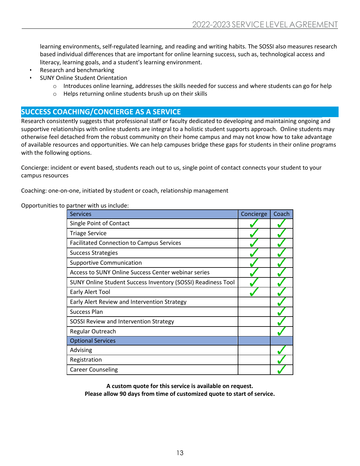learning environments, self-regulated learning, and reading and writing habits. The SOSSI also measures research based individual differences that are important for online learning success, such as, technological access and literacy, learning goals, and a student's learning environment.

- Research and benchmarking
- SUNY Online Student Orientation
	- o Introduces online learning, addresses the skills needed for success and where students can go for help
	- o Helps returning online students brush up on their skills

#### **SUCCESS COACHING/CONCIERGE AS A SERVICE**

Research consistently suggests that professional staff or faculty dedicated to developing and maintaining ongoing and supportive relationships with online students are integral to a holistic student supports approach. Online students may otherwise feel detached from the robust community on their home campus and may not know how to take advantage of available resources and opportunities. We can help campuses bridge these gaps for students in their online programs with the following options.

Concierge: incident or event based, students reach out to us, single point of contact connects your student to your campus resources

Coaching: one-on-one, initiated by student or coach, relationship management

Opportunities to partner with us include:

| <b>Services</b>                                              | Concierge | Coach |
|--------------------------------------------------------------|-----------|-------|
| Single Point of Contact                                      |           |       |
| <b>Triage Service</b>                                        |           |       |
| <b>Facilitated Connection to Campus Services</b>             |           |       |
| <b>Success Strategies</b>                                    |           |       |
| <b>Supportive Communication</b>                              |           |       |
| Access to SUNY Online Success Center webinar series          |           |       |
| SUNY Online Student Success Inventory (SOSSI) Readiness Tool |           |       |
| Early Alert Tool                                             |           |       |
| Early Alert Review and Intervention Strategy                 |           |       |
| Success Plan                                                 |           |       |
| SOSSI Review and Intervention Strategy                       |           |       |
| Regular Outreach                                             |           |       |
| <b>Optional Services</b>                                     |           |       |
| Advising                                                     |           |       |
| Registration                                                 |           |       |
| <b>Career Counseling</b>                                     |           |       |

**A custom quote for this service is available on request. Please allow 90 days from time of customized quote to start of service.**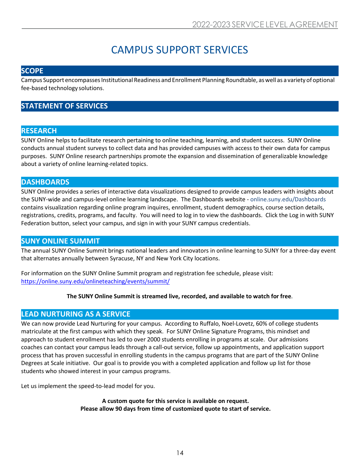# CAMPUS SUPPORT SERVICES

#### <span id="page-13-0"></span>**SCOPE**

Campus Support encompasses Institutional Readiness and Enrollment Planning Roundtable, as well as a variety of optional fee-based technology solutions.

### **STATEMENT OF SERVICES**

#### **RESEARCH**

SUNY Online helps to facilitate research pertaining to online teaching, learning, and student success. SUNY Online conducts annual student surveys to collect data and has provided campuses with access to their own data for campus purposes. SUNY Online research partnerships promote the expansion and dissemination of generalizable knowledge about a variety of online learning-related topics.

#### **DASHBOARDS**

SUNY Online provides a series of interactive data visualizations designed to provide campus leaders with insights about the SUNY-wide and campus-level online learning landscape. The Dashboards website - online.suny.edu/Dashboards contains visualization regarding online program inquires, enrollment, student demographics, course section details, registrations, credits, programs, and faculty. You will need to log in to view the dashboards. Click the Log in with SUNY Federation button, select your campus, and sign in with your SUNY campus credentials.

#### **SUNY ONLINE SUMMIT**

The annual SUNY Online Summit brings national leaders and innovators in online learning to SUNY for a three-day event that alternates annually between Syracuse, NY and New York City locations.

For information on the SUNY Online Summit program and registration fee schedule, please visit: <https://online.suny.edu/onlineteaching/events/summit/>

#### **The SUNY Online Summit is streamed live, recorded, and available to watch for free**.

#### **LEAD NURTURING AS A SERVICE**

We can now provide Lead Nurturing for your campus. According to Ruffalo, Noel-Lovetz, 60% of college students matriculate at the first campus with which they speak. For SUNY Online Signature Programs, this mindset and approach to student enrollment has led to over 2000 students enrolling in programs at scale. Our admissions coaches can contact your campus leads through a call-out service, follow up appointments, and application support process that has proven successful in enrolling students in the campus programs that are part of the SUNY Online Degrees at Scale initiative. Our goal is to provide you with a completed application and follow up list for those students who showed interest in your campus programs.

Let us implement the speed-to-lead model for you.

**A custom quote for this service is available on request. Please allow 90 days from time of customized quote to start of service.**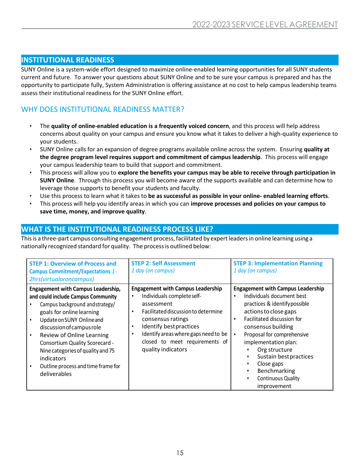#### **INSTITUTIONAL READINESS**

SUNY Online is a system-wide effort designed to maximize online-enabled learning opportunities for all SUNY students current and future. To answer your questions about SUNY Online and to be sure your campus is prepared and has the opportunity to participate fully, System Administration is offering assistance at no cost to help campus leadership teams assess their institutional readiness for the SUNY Online effort.

### WHY DOES INSTITUTIONAL READINESS MATTER?

- The **quality of online-enabled education is a frequently voiced concern**, and this process will help address concerns about quality on your campus and ensure you know what it takes to deliver a high-quality experience to your students.
- SUNY Online calls for an expansion of degree programs available online across the system. Ensuring **quality at the degree program level requires support and commitment of campus leadership**. This process will engage your campus leadership team to build that support and commitment.
- This process will allow you to **explore the benefits your campus may be able to receive through participation in SUNY Online**. Through this process you will become aware of the supports available and can determine how to leverage those supports to benefit your students and faculty.
- Use this process to learn what it takes to **be as successful as possible in your online- enabled learning efforts**.
- This process will help you identify areas in which you can **improve processes and policies on your campus to save time, money, and improve quality**.

#### **WHAT IS THE INSTITUTIONAL READINESS PROCESS LIKE?**

This is a three-part campus consulting engagement process, facilitated by expert leaders in online learning using a nationally recognized standard for quality. The processis outlined below:

| <b>STEP 1: Overview of Process and</b><br><b>Campus Commitment/Expectations 1-</b><br>2hrs(virtualoroncampus)                                                                                                                                                                                                                                                                     | <b>STEP 2: Self Assessment</b><br>1 day (on campus)                                                                                                                                                                                                                                                             | <b>STEP 3: Implementation Planning</b><br>1 day (on campus)                                                                                                                                                                                                                                                                                                  |
|-----------------------------------------------------------------------------------------------------------------------------------------------------------------------------------------------------------------------------------------------------------------------------------------------------------------------------------------------------------------------------------|-----------------------------------------------------------------------------------------------------------------------------------------------------------------------------------------------------------------------------------------------------------------------------------------------------------------|--------------------------------------------------------------------------------------------------------------------------------------------------------------------------------------------------------------------------------------------------------------------------------------------------------------------------------------------------------------|
| <b>Engagement with Campus Leadership,</b><br>and could include Campus Community<br>Campus background and strategy/<br>goals for online learning<br>Update on SUNY Online and<br>discussion of campus role<br>Review of Online Learning<br>Consortium Quality Scorecard -<br>Nine categories of quality and 75<br>indicators<br>Outline process and time frame for<br>deliverables | <b>Engagement with Campus Leadership</b><br>Individuals complete self-<br>$\bullet$<br>assessment<br>Facilitated discussion to determine<br>٠<br>consensus ratings<br>Identify best practices<br>$\bullet$<br>Identify areas where gaps need to be<br>٠<br>closed to meet requirements of<br>quality indicators | <b>Engagement with Campus Leadership</b><br>Individuals document best<br>practices & identify possible<br>actions to close gaps<br>Facilitated discussion for<br>consensus building<br>Proposal for comprehensive<br>implementation plan:<br>Org structure<br>Sustain best practices<br>Close gaps<br>Benchmarking<br>Continuous Quality<br>٠<br>improvement |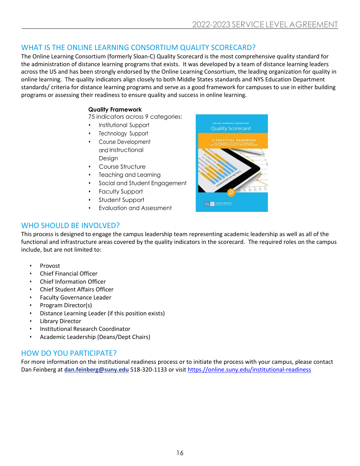# WHAT IS THE ONLINE LEARNING CONSORTIUM QUALITY SCORECARD?

The Online Learning Consortium (formerly Sloan-C) Quality Scorecard is the most comprehensive quality standard for the administration of distance learning programs that exists. It was developed by a team of distance learning leaders across the US and has been strongly endorsed by the Online Learning Consortium, the leading organization for quality in online learning. The quality indicators align closely to both Middle States standards and NYS Education Department standards/ criteria for distance learning programs and serve as a good framework for campuses to use in either building programs or assessing their readiness to ensure quality and success in online learning.

#### **Quality Framework**

75 indicators across 9 categories:

- Institutional Support
- Technology Support
- Course Development and Instructional Design
- Course Structure
- Teaching and Learning
- Social and Student Engagement
- Faculty Support
- Student Support
- Evaluation and Assessment



### WHO SHOULD BE INVOLVED?

This process is designed to engage the campus leadership team representing academic leadership as well as all of the functional and infrastructure areas covered by the quality indicators in the scorecard. The required roles on the campus include, but are not limited to:

- Provost
- Chief Financial Officer
- Chief Information Officer
- Chief Student Affairs Officer
- Faculty Governance Leader
- Program Director(s)
- Distance Learning Leader (if this position exists)
- Library Director
- Institutional Research Coordinator
- Academic Leadership (Deans/Dept Chairs)

# HOW DO YOU PARTICIPATE?

For more information on the institutional readiness process or to initiate the process with your campus, please contact Dan Feinberg at **[dan.feinberg@suny.edu](mailto:dan.feinberg@suny.edu)** 518-320-1133 or visit [https.//online.suny.edu/institutional-readiness](https://online.suny.edu/institutional-readiness/)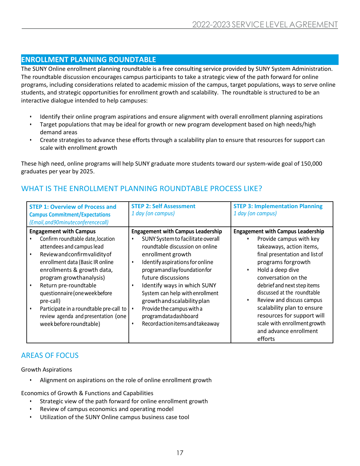#### **ENROLLMENT PLANNING ROUNDTABLE**

The SUNY Online enrollment planning roundtable is a free consulting service provided by SUNY System Administration. The roundtable discussion encourages campus participants to take a strategic view of the path forward for online programs, including considerations related to academic mission of the campus, target populations, ways to serve online students, and strategic opportunities for enrollment growth and scalability. The roundtable is structured to be an interactive dialogue intended to help campuses:

- Identify their online program aspirations and ensure alignment with overall enrollment planning aspirations
- Target populations that may be ideal for growth or new program development based on high needs/high demand areas
- Create strategies to advance these efforts through a scalability plan to ensure that resources for support can scale with enrollment growth

These high need, online programs will help SUNY graduate more students toward our system-wide goal of 150,000 graduates per year by 2025.

| <b>STEP 1: Overview of Process and</b><br><b>Campus Commitment/Expectations</b><br>(Email, and 90 minute conference call)                                                                                                                                                                                                                                                                                          | <b>STEP 2: Self Assessment</b><br>1 day (on campus)                                                                                                                                                                                                                                                                                                                                                                                                         | <b>STEP 3: Implementation Planning</b><br>1 day (on campus)                                                                                                                                                                                                                                                                                                                                                                                       |
|--------------------------------------------------------------------------------------------------------------------------------------------------------------------------------------------------------------------------------------------------------------------------------------------------------------------------------------------------------------------------------------------------------------------|-------------------------------------------------------------------------------------------------------------------------------------------------------------------------------------------------------------------------------------------------------------------------------------------------------------------------------------------------------------------------------------------------------------------------------------------------------------|---------------------------------------------------------------------------------------------------------------------------------------------------------------------------------------------------------------------------------------------------------------------------------------------------------------------------------------------------------------------------------------------------------------------------------------------------|
| <b>Engagement with Campus</b><br>Confirm roundtable date, location<br>attendees and campus lead<br>Reviewand confirm validity of<br>enrollment data (Basic IR online<br>enrollments & growth data,<br>program growthanalysis)<br>Return pre-roundtable<br>questionnaire (one week before<br>pre-call)<br>Participate in a roundtable pre-call to<br>review agenda and presentation (one<br>week before roundtable) | <b>Engagement with Campus Leadership</b><br>SUNY System to facilitate overall<br>$\bullet$<br>roundtable discussion on online<br>enrollment growth<br>Identify aspirations for online<br>$\bullet$<br>programandlayfoundationfor<br>future discussions<br>Identify ways in which SUNY<br>System can help with enrollment<br>growth and scalability plan<br>Provide the campus with a<br>$\bullet$<br>programdatadashboard<br>Recordactionitems and takeaway | <b>Engagement with Campus Leadership</b><br>Provide campus with key<br>takeaways, action items,<br>final presentation and list of<br>programs for growth<br>Hold a deep dive<br>٠<br>conversation on the<br>debrief and next step items<br>discussed at the roundtable<br>Review and discuss campus<br>$\bullet$<br>scalability plan to ensure<br>resources for support will<br>scale with enrollment growth<br>and advance enrollment<br>efforts |

### WHAT IS THE ENROLLMENT PLANNING ROUNDTABLE PROCESS LIKE?

# AREAS OF FOCUS

Growth Aspirations

• Alignment on aspirations on the role of online enrollment growth

Economics of Growth & Functions and Capabilities

- Strategic view of the path forward for online enrollment growth
- Review of campus economics and operating model
- Utilization of the SUNY Online campus business case tool